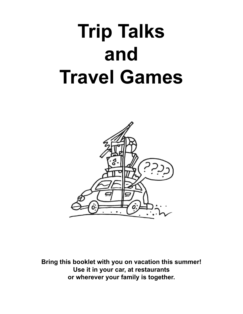# **Trip Talks and Travel Games**



**Bring this booklet with you on vacation this summer! Use it in your car, at restaurants or wherever your family is together.**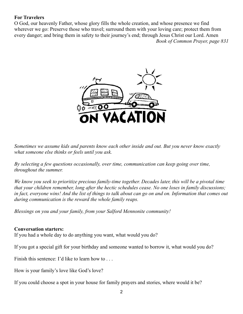#### **For Travelers**

O God, our heavenly Father, whose glory fills the whole creation, and whose presence we find wherever we go: Preserve those who travel; surround them with your loving care; protect them from every danger; and bring them in safety to their journey's end; through Jesus Christ our Lord. Amen *Book of Common Prayer, page 831*



*Sometimes we assume kids and parents know each other inside and out. But you never know exactly what someone else thinks or feels until you ask.*

*By selecting a few questions occasionally, over time, communication can keep going over time, throughout the summer.*

*We know you seek to prioritize precious family-time together. Decades later, this will be a pivotal time that your children remember, long after the hectic schedules cease. No one loses in family discussions;* in fact, everyone wins! And the list of things to talk about can go on and on. Information that comes out *during communication is the reward the whole family reaps.*

*Blessings on you and your family, from your Salford Mennonite community!*

#### **Conversation starters:**

If you had a whole day to do anything you want, what would you do?

If you got a special gift for your birthday and someone wanted to borrow it, what would you do?

Finish this sentence: I'd like to learn how to ...

How is your family's love like God's love?

If you could choose a spot in your house for family prayers and stories, where would it be?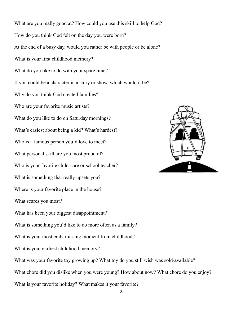What are you really good at? How could you use this skill to help God? How do you think God felt on the day you were born? At the end of a busy day, would you rather be with people or be alone? What is your first childhood memory? What do you like to do with your spare time? If you could be a character in a story or show, which would it be? Why do you think God created families? Who are your favorite music artists? What do you like to do on Saturday mornings? What's easiest about being a kid? What's hardest? Who is a famous person you'd love to meet? What personal skill are you most proud of? Who is your favorite child-care or school teacher? What is something that really upsets you? Where is your favorite place in the house? What scares you most? What has been your biggest disappointment? What is something you'd like to do more often as a family? What is your most embarrassing moment from childhood? What is your earliest childhood memory? What was your favorite toy growing up? What toy do you still wish was sold/available? What chore did you dislike when you were young? How about now? What chore do you enjoy? What is your favorite holiday? What makes it your favorite?

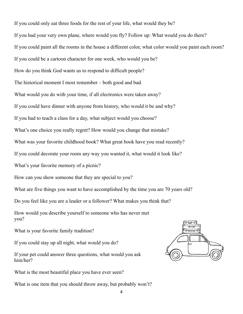If you could only eat three foods for the rest of your life, what would they be? If you had your very own plane, where would you fly? Follow up: What would you do there? If you could paint all the rooms in the house a different color, what color would you paint each room? If you could be a cartoon character for one week, who would you be? How do you think God wants us to respond to difficult people? The historical moment I most remember – both good and bad. What would you do with your time, if all electronics were taken away? If you could have dinner with anyone from history, who would it be and why? If you had to teach a class for a day, what subject would you choose? What's one choice you really regret? How would you change that mistake? What was your favorite childhood book? What great book have you read recently? If you could decorate your room any way you wanted it, what would it look like? What's your favorite memory of a picnic? How can you show someone that they are special to you? What are five things you want to have accomplished by the time you are 70 years old? Do you feel like you are a leader or a follower? What makes you think that? How would you describe yourself to someone who has never met you? What is your favorite family tradition? If you could stay up all night, what would you do?

If your pet could answer three questions, what would you ask him/her?

What is the most beautiful place you have ever seen?

What is one item that you should throw away, but probably won't?

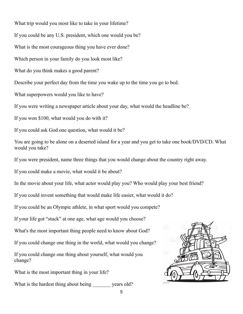What trip would you most like to take in your lifetime? If you could be any U.S. president, which one would you be? What is the most courageous thing you have ever done? Which person in your family do you look most like? What do you think makes a good parent? Describe your perfect day from the time you wake up to the time you go to bed. What superpowers would you like to have? If you were writing a newspaper article about your day, what would the headline be? If you won \$100, what would you do with it?

If you could ask God one question, what would it be?

You are going to be alone on a deserted island for a year and you get to take one book/DVD/CD. What would you take?

If you were president, name three things that you would change about the country right away.

If you could make a movie, what would it be about?

In the movie about your life, what actor would play you? Who would play your best friend?

If you could invent something that would make life easier, what would it do?

If you could be an Olympic athlete, in what sport would you compete?

If your life got "stuck" at one age, what age would you choose?

What's the most important thing people need to know about God?

If you could change one thing in the world, what would you change?

If you could change one thing about yourself, what would you change?

What is the most important thing in your life?

What is the hardest thing about being vears old?

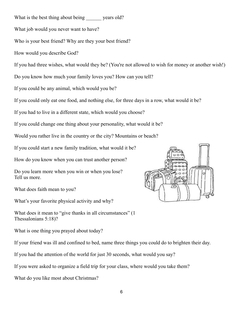What is the best thing about being vears old?

What job would you never want to have?

Who is your best friend? Why are they your best friend?

How would you describe God?

If you had three wishes, what would they be? (You're not allowed to wish for money or another wish!)

Do you know how much your family loves you? How can you tell?

If you could be any animal, which would you be?

If you could only eat one food, and nothing else, for three days in a row, what would it be?

If you had to live in a different state, which would you choose?

If you could change one thing about your personality, what would it be?

Would you rather live in the country or the city? Mountains or beach?

If you could start a new family tradition, what would it be?

How do you know when you can trust another person?

Do you learn more when you win or when you lose? Tell us more.

What does faith mean to you?

What's your favorite physical activity and why?

What does it mean to "give thanks in all circumstances" (1) Thessalonians 5:18)?

What is one thing you prayed about today?

If your friend was ill and confined to bed, name three things you could do to brighten their day.

If you had the attention of the world for just 30 seconds, what would you say?

If you were asked to organize a field trip for your class, where would you take them?

What do you like most about Christmas?

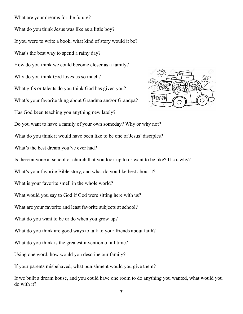What are your dreams for the future? What do you think Jesus was like as a little boy? If you were to write a book, what kind of story would it be? What's the best way to spend a rainy day? How do you think we could become closer as a family? Why do you think God loves us so much? What gifts or talents do you think God has given you? What's your favorite thing about Grandma and/or Grandpa? Has God been teaching you anything new lately? Do you want to have a family of your own someday? Why or why not? What do you think it would have been like to be one of Jesus' disciples? What's the best dream you've ever had? Is there anyone at school or church that you look up to or want to be like? If so, why? What's your favorite Bible story, and what do you like best about it? What is your favorite smell in the whole world? What would you say to God if God were sitting here with us? What are your favorite and least favorite subjects at school? What do you want to be or do when you grow up? What do you think are good ways to talk to your friends about faith? What do you think is the greatest invention of all time? Using one word, how would you describe our family? If your parents misbehaved, what punishment would you give them?



If we built a dream house, and you could have one room to do anything you wanted, what would you do with it?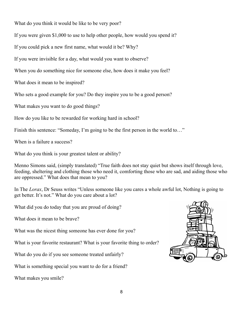What do you think it would be like to be very poor?

If you were given \$1,000 to use to help other people, how would you spend it?

If you could pick a new first name, what would it be? Why?

If you were invisible for a day, what would you want to observe?

When you do something nice for someone else, how does it make you feel?

What does it mean to be inspired?

Who sets a good example for you? Do they inspire you to be a good person?

What makes you want to do good things?

How do you like to be rewarded for working hard in school?

Finish this sentence: "Someday, I'm going to be the first person in the world to…"

When is a failure a success?

What do you think is your greatest talent or ability?

Menno Simons said, (simply translated) "True faith does not stay quiet but shows itself through love, feeding, sheltering and clothing those who need it, comforting those who are sad, and aiding those who are oppressed." What does that mean to you?

In The *Lorax*, Dr Seuss writes "Unless someone like you cares a whole awful lot, Nothing is going to get better. It's not." What do you care about a lot?

What did you do today that you are proud of doing?

What does it mean to be brave?

What was the nicest thing someone has ever done for you?

What is your favorite restaurant? What is your favorite thing to order?

What do you do if you see someone treated unfairly?

What is something special you want to do for a friend?

What makes you smile?

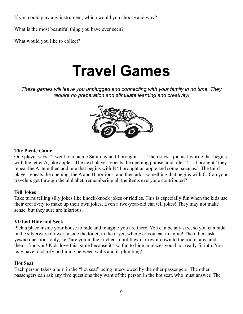If you could play any instrument, which would you choose and why?

What is the most beautiful thing you have ever seen?

What would you like to collect?

## **Travel Games**

*These games will leave you unplugged and connecting with your family in no time. They require no preparation and stimulate learning and creativity!*



#### **The Picnic Game**

One player says, "I went to a picnic Saturday and I brought . . . " then says a picnic favorite that begins with the letter A, like apples. The next player repeats the opening phrase, and after "... I brought" they repeat the A item then add one that begins with B "I brought an apple and some bananas." The third player repeats the opening, the A and B portions, and then adds something that begins with C. Can your travelers get through the alphabet, remembering all the items everyone contributed?

### **Tell Jokes**

Take turns telling silly jokes like knock-knock jokes or riddles. This is especially fun when the kids use their creativity to make up their own jokes. Even a two-year-old can tell jokes! They may not make sense, but they sure are hilarious.

### **Virtual Hide and Seek**

Pick a place inside your house to hide and imagine you are there. You can be any size, so you can hide in the silverware drawer, inside the toilet, in the dryer, wherever you can imagine! The others ask yes/no questions only, i.e. "are you in the kitchen" until they narrow it down to the room, area and then....find you! Kids love this game because it's so fun to hide in places you'd not really fit into. You may have to clarify no hiding between walls and in plumbing!

### **Hot Seat**

Each person takes a turn in the "hot seat" being interviewed by the other passengers. The other passengers can ask any five questions they want of the person in the hot seat, who must answer. The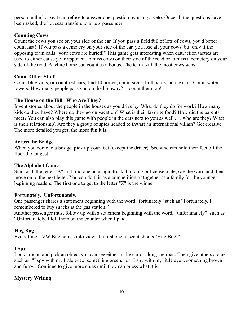person in the hot seat can refuse to answer one question by using a veto. Once all the questions have been asked, the hot seat transfers to a new passenger.

### **Counting Cows**

Count the cows you see on your side of the car. If you pass a field full of lots of cows, you'd better count fast! If you pass a cemetery on your side of the car, you lose all your cows, but only if the opposing team calls "your cows are buried!" This game gets interesting when distraction tactics are used to either cause your opponent to miss cows on their side of the road or to miss a cemetery on your side of the road. A white horse can count as a bonus. The team with the most cows wins.

#### **Count Other Stuff**

Count blue vans, or count red cars, find 10 horses, count signs, billboards, police cars. Count water towers. How many people pass you on the highway? -- count them too!

### **The House on the Hill. Who Are They?**

Invent stories about the people in the houses as you drive by. What do they do for work? How many kids do they have? Where do they go on vacation? What is their favorite food? How did the parents meet? You can also play this game with people in the cars next to you as well . . . who are they? What is their relationship? Are they a group of spies headed to thwart an international villain? Get creative. The more detailed you get, the more fun it is.

#### **Across the Bridge**

When you come to a bridge, pick up your feet (except the driver). See who can hold their feet off the floor the longest.

#### **The Alphabet Game**

Start with the letter "A" and find one on a sign, truck, building or license plate, say the word and then move on to the next letter. You can do this as a competition or together as a family for the younger beginning readers. The first one to get to the letter "Z" is the winner!

#### **Fortunately. Unfortunately.**

One passenger shares a statement beginning with the word "fortunately" such as "Fortunately, I remembered to buy snacks at the gas station."

Another passenger must follow up with a statement beginning with the word, "unfortunately" such as "Unfortunately, I left them on the counter when I paid."

### **Hug Bug**

Every time a VW Bug comes into view, the first one to see it shouts "Hug Bug!"

### **I Spy**

Look around and pick an object you can see either in the car or along the road. Then give others a clue such as, "I spy with my little eye... something green." or "I spy with my little eye .. something brown and furry." Continue to give more clues until they can guess what it is.

### **Mystery Writing**